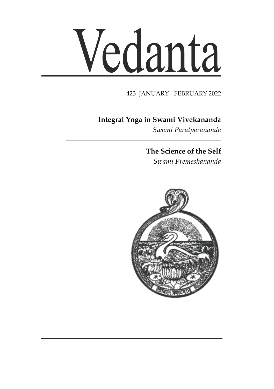# Vedanta

#### 423 JANUARY - FEBRUARY 2022

# **Integral Yoga in Swami Vivekananda**

*Swami Paratparananda*

# **The Science of the Self**

*Swami Premeshananda*

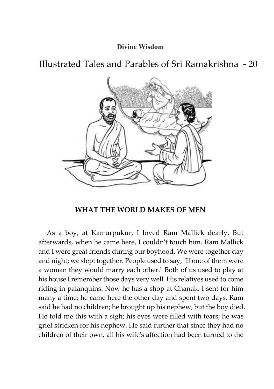#### **Divine Wisdom**

Illustrated Tales and Parables of Sri Ramakrishna - 20



#### **WHAT THE WORLD MAKES OF MEN**

As a boy, at Kamarpukur, I loved Ram Mallick dearly. But afterwards, when he came here, I couldn't touch him. Ram Mallick and I were great friends during our boyhood. We were together day and night; we slept together. People used to say, "If one of them were a woman they would marry each other." Both of us used to play at his house I remember those days very well. His relatives used to come riding in palanquins. Now he has a shop at Chanak. I sent for him many a time; he came here the other day and spent two days. Ram said he had no children; he brought up his nephew, but the boy died. He told me this with a sigh; his eyes were filled with tears; he was grief stricken for his nephew. He said further that since they had no children of their own, all his wife's affection had been turned to the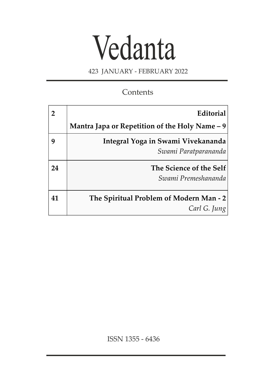# Vedanta

423 JANUARY - FEBRUARY 2022

# **Contents**

|    | Editorial                                                  |
|----|------------------------------------------------------------|
|    | Mantra Japa or Repetition of the Holy Name $-9$            |
|    | Integral Yoga in Swami Vivekananda<br>Swami Paratparananda |
| 24 | The Science of the Self<br>Swami Premeshananda             |
| 41 | The Spiritual Problem of Modern Man - 2<br>Carl G. Jung    |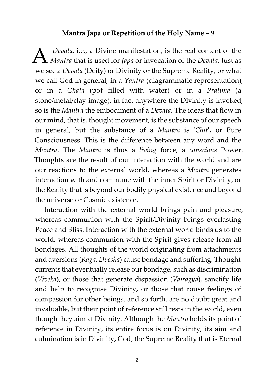#### **Mantra Japa or Repetition of the Holy Name – 9**

*A Devata,* i.e., a Divine manifestation, is the real content of the *Mantra* that is used for *Japa* or invocation of the *Devata*. Just as *Devata*, i.e., a Divine manifestation, is the real content of the we see a *Devata* (Deity) or Divinity or the Supreme Reality, or what we call God in general, in a *Yantra* (diagrammatic representation), or in a *Ghata* (pot filled with water) or in a *Pratima* (a stone/metal/clay image), in fact anywhere the Divinity is invoked, so is the *Mantra* the embodiment of a *Devata*. The ideas that flow in our mind, that is, thought movement, is the substance of our speech in general, but the substance of a *Mantra* is '*Chit*', or Pure Consciousness. This is the difference between any word and the *Mantra*. The *Mantra* is thus a *living* force, a *conscious* Power. Thoughts are the result of our interaction with the world and are our reactions to the external world, whereas a *Mantra* generates interaction with and commune with the inner Spirit or Divinity, or the Reality that is beyond our bodily physical existence and beyond the universe or Cosmic existence.

Interaction with the external world brings pain and pleasure, whereas communion with the Spirit/Divinity brings everlasting Peace and Bliss. Interaction with the external world binds us to the world, whereas communion with the Spirit gives release from all bondages. All thoughts of the world originating from attachments and aversions (*Raga*, *Dvesha*) cause bondage and suffering. Thoughtcurrents that eventually release our bondage, such as discrimination (*Viveka*), or those that generate dispassion (*Vairagya*), sanctify life and help to recognise Divinity, or those that rouse feelings of compassion for other beings, and so forth, are no doubt great and invaluable, but their point of reference still rests in the world, even though they aim at Divinity. Although the *Mantra* holds its point of reference in Divinity, its entire focus is on Divinity, its aim and culmination is in Divinity, God, the Supreme Reality that is Eternal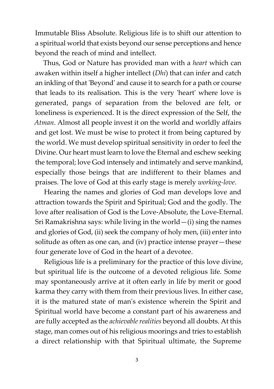Immutable Bliss Absolute. Religious life is to shift our attention to a spiritual world that exists beyond our sense perceptions and hence beyond the reach of mind and intellect.

Thus, God or Nature has provided man with a *heart* which can awaken within itself a higher intellect (*Dhi*) that can infer and catch an inkling of that 'Beyond' and cause it to search for a path or course that leads to its realisation. This is the very 'heart' where love is generated, pangs of separation from the beloved are felt, or loneliness is experienced. It is the direct expression of the Self, the *Atman*. Almost all people invest it on the world and worldly affairs and get lost. We must be wise to protect it from being captured by the world. We must develop spiritual sensitivity in order to feel the Divine. Our heart must learn to love the Eternal and eschew seeking the temporal; love God intensely and intimately and serve mankind, especially those beings that are indifferent to their blames and praises. The love of God at this early stage is merely *working-love*.

Hearing the names and glories of God man develops love and attraction towards the Spirit and Spiritual; God and the godly. The love after realisation of God is the Love-Absolute, the Love-Eternal. Sri Ramakrishna says: while living in the world—(i) sing the names and glories of God, (ii) seek the company of holy men, (iii) enter into solitude as often as one can, and (iv) practice intense prayer—these four generate love of God in the heart of a devotee.

Religious life is a preliminary for the practice of this love divine, but spiritual life is the outcome of a devoted religious life. Some may spontaneously arrive at it often early in life by merit or good karma they carry with them from their previous lives. In either case, it is the matured state of man's existence wherein the Spirit and Spiritual world have become a constant part of his awareness and are fully accepted as the *achievable realities* beyond all doubts. At this stage, man comes out of his religious moorings and tries to establish a direct relationship with that Spiritual ultimate, the Supreme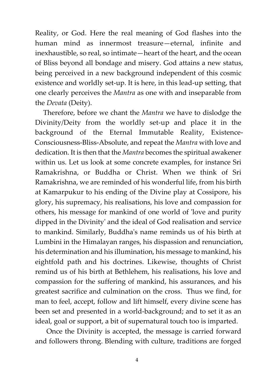Reality, or God. Here the real meaning of God flashes into the human mind as innermost treasure—eternal, infinite and inexhaustible, so real, so intimate—heart of the heart, and the ocean of Bliss beyond all bondage and misery. God attains a new status, being perceived in a new background independent of this cosmic existence and worldly set-up. It is here, in this lead-up setting, that one clearly perceives the *Mantra* as one with and inseparable from the *Devata* (Deity).

Therefore, before we chant the *Mantra* we have to dislodge the Divinity/Deity from the worldly set-up and place it in the background of the Eternal Immutable Reality, Existence-Consciousness-Bliss-Absolute, and repeat the *Mantra* with love and dedication. It is then that the *Mantra* becomes the spiritual awakener within us. Let us look at some concrete examples, for instance Sri Ramakrishna, or Buddha or Christ. When we think of Sri Ramakrishna, we are reminded of his wonderful life, from his birth at Kamarpukur to his ending of the Divine play at Cossipore, his glory, his supremacy, his realisations, his love and compassion for others, his message for mankind of one world of 'love and purity dipped in the Divinity' and the ideal of God realisation and service to mankind. Similarly, Buddha's name reminds us of his birth at Lumbini in the Himalayan ranges, his dispassion and renunciation, his determination and his illumination, his message to mankind, his eightfold path and his doctrines. Likewise, thoughts of Christ remind us of his birth at Bethlehem, his realisations, his love and compassion for the suffering of mankind, his assurances, and his greatest sacrifice and culmination on the cross. Thus we find, for man to feel, accept, follow and lift himself, every divine scene has been set and presented in a world-background; and to set it as an ideal, goal or support, a bit of supernatural touch too is imparted.

 Once the Divinity is accepted, the message is carried forward and followers throng. Blending with culture, traditions are forged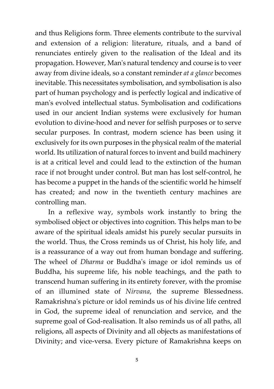and thus Religions form. Three elements contribute to the survival and extension of a religion: literature, rituals, and a band of renunciates entirely given to the realisation of the Ideal and its propagation. However, Man's natural tendency and course is to veer away from divine ideals, so a constant reminder *at a glance* becomes inevitable. This necessitates symbolisation, and symbolisation is also part of human psychology and is perfectly logical and indicative of man's evolved intellectual status. Symbolisation and codifications used in our ancient Indian systems were exclusively for human evolution to divine-hood and never for selfish purposes or to serve secular purposes. In contrast, modern science has been using it exclusively for its own purposes in the physical realm of the material world. Its utilization of natural forces to invent and build machinery is at a critical level and could lead to the extinction of the human race if not brought under control. But man has lost self-control, he has become a puppet in the hands of the scientific world he himself has created; and now in the twentieth century machines are controlling man.

 In a reflexive way, symbols work instantly to bring the symbolised object or objectives into cognition. This helps man to be aware of the spiritual ideals amidst his purely secular pursuits in the world. Thus, the Cross reminds us of Christ, his holy life, and is a reassurance of a way out from human bondage and suffering. The wheel of *Dharma* or Buddha's image or idol reminds us of Buddha, his supreme life, his noble teachings, and the path to transcend human suffering in its entirety forever, with the promise of an illumined state of *Nirvana*, the supreme Blessedness. Ramakrishna's picture or idol reminds us of his divine life centred in God, the supreme ideal of renunciation and service, and the supreme goal of God-realisation. It also reminds us of all paths, all religions, all aspects of Divinity and all objects as manifestations of Divinity; and vice-versa. Every picture of Ramakrishna keeps on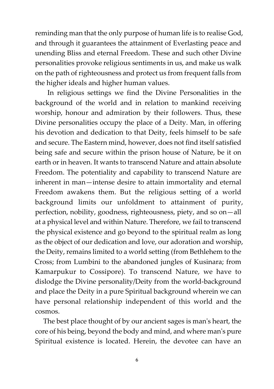reminding man that the only purpose of human life is to realise God, and through it guarantees the attainment of Everlasting peace and unending Bliss and eternal Freedom. These and such other Divine personalities provoke religious sentiments in us, and make us walk on the path of righteousness and protect us from frequent falls from the higher ideals and higher human values.

In religious settings we find the Divine Personalities in the background of the world and in relation to mankind receiving worship, honour and admiration by their followers. Thus, these Divine personalities occupy the place of a Deity. Man, in offering his devotion and dedication to that Deity, feels himself to be safe and secure. The Eastern mind, however, does not find itself satisfied being safe and secure within the prison house of Nature, be it on earth or in heaven. It wants to transcend Nature and attain absolute Freedom. The potentiality and capability to transcend Nature are inherent in man—intense desire to attain immortality and eternal Freedom awakens them. But the religious setting of a world background limits our unfoldment to attainment of purity, perfection, nobility, goodness, righteousness, piety, and so on—all at a physical level and within Nature. Therefore, we fail to transcend the physical existence and go beyond to the spiritual realm as long as the object of our dedication and love, our adoration and worship, the Deity, remains limited to a world setting (from Bethlehem to the Cross; from Lumbini to the abandoned jungles of Kusinara; from Kamarpukur to Cossipore). To transcend Nature, we have to dislodge the Divine personality/Deity from the world-background and place the Deity in a pure Spiritual background wherein we can have personal relationship independent of this world and the cosmos.

The best place thought of by our ancient sages is man's heart, the core of his being, beyond the body and mind, and where man's pure Spiritual existence is located. Herein, the devotee can have an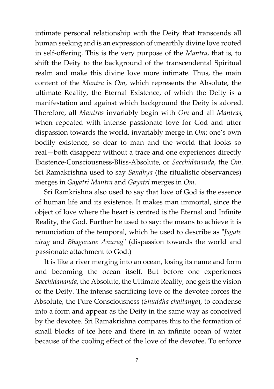intimate personal relationship with the Deity that transcends all human seeking and is an expression of unearthly divine love rooted in self-offering. This is the very purpose of the *Mantra*, that is, to shift the Deity to the background of the transcendental Spiritual realm and make this divine love more intimate. Thus, the main content of the *Mantra* is *Om,* which represents the Absolute, the ultimate Reality, the Eternal Existence, of which the Deity is a manifestation and against which background the Deity is adored. Therefore, all *Mantras* invariably begin with *Om* and all *Mantras,* when repeated with intense passionate love for God and utter dispassion towards the world, invariably merge in *Om*; one's own bodily existence, so dear to man and the world that looks so real—both disappear without a trace and one experiences directly Existence-Consciousness-Bliss-Absolute, or *Sacchidānanda*, the *Om*. Sri Ramakrishna used to say *Sandhya* (the ritualistic observances) merges in *Gayatri Mantra* and *Gayatri* merges in *Om*.

Sri Ramkrishna also used to say that love of God is the essence of human life and its existence. It makes man immortal, since the object of love where the heart is centred is the Eternal and Infinite Reality, the God. Further he used to say: the means to achieve it is renunciation of the temporal, which he used to describe as "*Jagate virag* and *Bhagavane Anurag*" (dispassion towards the world and passionate attachment to God.)

It is like a river merging into an ocean, losing its name and form and becoming the ocean itself. But before one experiences *Sacchidananda*, the Absolute, the Ultimate Reality, one gets the vision of the Deity. The intense sacrificing love of the devotee forces the Absolute, the Pure Consciousness (*Shuddha chaitanya*), to condense into a form and appear as the Deity in the same way as conceived by the devotee. Sri Ramakrishna compares this to the formation of small blocks of ice here and there in an infinite ocean of water because of the cooling effect of the love of the devotee. To enforce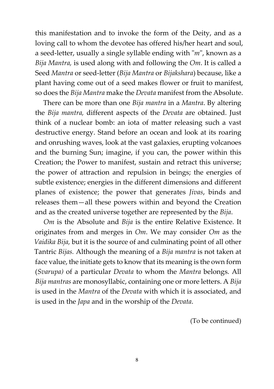this manifestation and to invoke the form of the Deity, and as a loving call to whom the devotee has offered his/her heart and soul, a seed-letter, usually a single syllable ending with "*m*", known as a *Bija Mantra,* is used along with and following the *Om*. It is called a Seed *Mantra* or seed-letter (*Bija Mantra* or *Bijakshara*) because, like a plant having come out of a seed makes flower or fruit to manifest, so does the *Bija Mantra* make the *Devata* manifest from the Absolute.

There can be more than one *Bija mantra* in a *Mantra*. By altering the *Bija mantra,* different aspects of the *Devata* are obtained. Just think of a nuclear bomb: an iota of matter releasing such a vast destructive energy. Stand before an ocean and look at its roaring and onrushing waves, look at the vast galaxies, erupting volcanoes and the burning Sun; imagine, if you can, the power within this Creation; the Power to manifest, sustain and retract this universe; the power of attraction and repulsion in beings; the energies of subtle existence; energies in the different dimensions and different planes of existence; the power that generates *Jivas*, binds and releases them—all these powers within and beyond the Creation and as the created universe together are represented by the *Bija*.

*Om* is the Absolute and *Bija* is the entire Relative Existence. It originates from and merges in *Om*. We may consider *Om* as the *Vaidika Bija,* but it is the source of and culminating point of all other Tantric *Bijas.* Although the meaning of a *Bija mantra* is not taken at face value, the initiate gets to know that its meaning is the own form (*Svarupa)* of a particular *Devata* to whom the *Mantra* belongs. All *Bija mantras* are monosyllabic, containing one or more letters. A *Bija* is used in the *Mantra* of the *Devata* with which it is associated, and is used in the *Japa* and in the worship of the *Devata*.

(To be continued)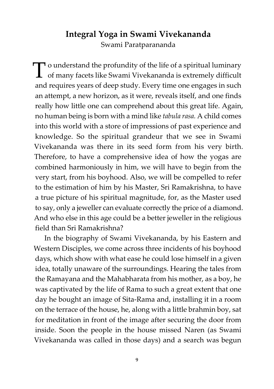# **Integral Yoga in Swami Vivekananda** Swami Paratparananda

T o understand the profundity of the life of a spiritual luminary<br>of many facets like Swami Vivekananda is extremely difficult  $\perp$  of many facets like Swami Vivekananda is extremely difficult and requires years of deep study. Every time one engages in such an attempt, a new horizon, as it were, reveals itself, and one finds really how little one can comprehend about this great life. Again, no human being is born with a mind like *tabula rasa.* A child comes into this world with a store of impressions of past experience and knowledge. So the spiritual grandeur that we see in Swami Vivekananda was there in its seed form from his very birth. Therefore, to have a comprehensive idea of how the yogas are combined harmoniously in him, we will have to begin from the very start, from his boyhood. Also, we will be compelled to refer to the estimation of him by his Master, Sri Ramakrishna, to have a true picture of his spiritual magnitude, for, as the Master used to say, only a jeweller can evaluate correctly the price of a diamond. And who else in this age could be a better jeweller in the religious field than Sri Ramakrishna?

In the biography of Swami Vivekananda, by his Eastern and Western Disciples, we come across three incidents of his boyhood days, which show with what ease he could lose himself in a given idea, totally unaware of the surroundings. Hearing the tales from the Ramayana and the Mahabharata from his mother, as a boy, he was captivated by the life of Rama to such a great extent that one day he bought an image of Sita-Rama and, installing it in a room on the terrace of the house, he, along with a little brahmin boy, sat for meditation in front of the image after securing the door from inside. Soon the people in the house missed Naren (as Swami Vivekananda was called in those days) and a search was begun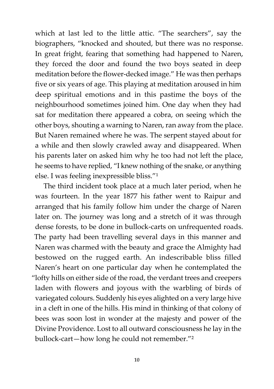which at last led to the little attic. "The searchers", say the biographers, "knocked and shouted, but there was no response. In great fright, fearing that something had happened to Naren, they forced the door and found the two boys seated in deep meditation before the flower-decked image." He was then perhaps five or six years of age. This playing at meditation aroused in him deep spiritual emotions and in this pastime the boys of the neighbourhood sometimes joined him. One day when they had sat for meditation there appeared a cobra, on seeing which the other boys, shouting a warning to Naren, ran away from the place. But Naren remained where he was. The serpent stayed about for a while and then slowly crawled away and disappeared. When his parents later on asked him why he too had not left the place, he seems to have replied, "I knew nothing of the snake, or anything else. I was feeling inexpressible bliss."<sup>1</sup>

The third incident took place at a much later period, when he was fourteen. In the year 1877 his father went to Raipur and arranged that his family follow him under the charge of Naren later on. The journey was long and a stretch of it was through dense forests, to be done in bullock-carts on unfrequented roads. The party had been travelling several days in this manner and Naren was charmed with the beauty and grace the Almighty had bestowed on the rugged earth. An indescribable bliss filled Naren's heart on one particular day when he contemplated the "lofty hills on either side of the road, the verdant trees and creepers laden with flowers and joyous with the warbling of birds of variegated colours. Suddenly his eyes alighted on a very large hive in a cleft in one of the hills. His mind in thinking of that colony of bees was soon lost in wonder at the majesty and power of the Divine Providence. Lost to all outward consciousness he lay in the bullock-cart—how long he could not remember."²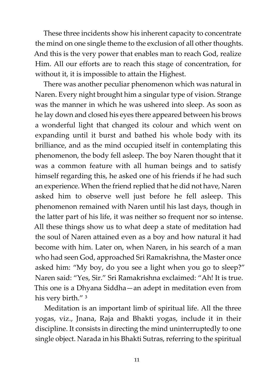These three incidents show his inherent capacity to concentrate the mind on one single theme to the exclusion of all other thoughts. And this is the very power that enables man to reach God, realize Him. All our efforts are to reach this stage of concentration, for without it, it is impossible to attain the Highest.

There was another peculiar phenomenon which was natural in Naren. Every night brought him a singular type of vision. Strange was the manner in which he was ushered into sleep. As soon as he lay down and closed his eyes there appeared between his brows a wonderful light that changed its colour and which went on expanding until it burst and bathed his whole body with its brilliance, and as the mind occupied itself in contemplating this phenomenon, the body fell asleep. The boy Naren thought that it was a common feature with all human beings and to satisfy himself regarding this, he asked one of his friends if he had such an experience. When the friend replied that he did not have, Naren asked him to observe well just before he fell asleep. This phenomenon remained with Naren until his last days, though in the latter part of his life, it was neither so frequent nor so intense. All these things show us to what deep a state of meditation had the soul of Naren attained even as a boy and how natural it had become with him. Later on, when Naren, in his search of a man who had seen God, approached Sri Ramakrishna, the Master once asked him: "My boy, do you see a light when you go to sleep?" Naren said: "Yes, Sir." Sri Ramakrishna exclaimed: "Ah! It is true. This one is a Dhyana Siddha—an adept in meditation even from his very birth."<sup>3</sup>

Meditation is an important limb of spiritual life. All the three yogas, viz., Jnana, Raja and Bhakti yogas, include it in their discipline. It consists in directing the mind uninterruptedly to one single object. Narada in his Bhakti Sutras, referring to the spiritual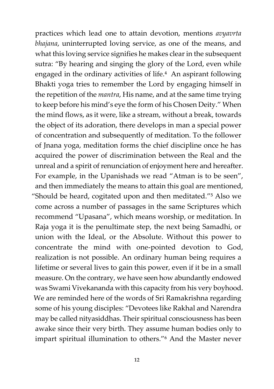practices which lead one to attain devotion, mentions *avyavrta bhajana*, uninterrupted loving service, as one of the means, and what this loving service signifies he makes clear in the subsequent sutra: "By hearing and singing the glory of the Lord, even while engaged in the ordinary activities of life.<sup>4</sup> An aspirant following Bhakti yoga tries to remember the Lord by engaging himself in the repetition of the *mantra*, His name, and at the same time trying to keep before his mind's eye the form of his Chosen Deity." When the mind flows, as it were, like a stream, without a break, towards the object of its adoration, there develops in man a special power of concentration and subsequently of meditation. To the follower of Jnana yoga, meditation forms the chief discipline once he has acquired the power of discrimination between the Real and the unreal and a spirit of renunciation of enjoyment here and hereafter. For example, in the Upanishads we read "Atman is to be seen", and then immediately the means to attain this goal are mentioned, "Should be heard, cogitated upon and then meditated."<sup>5</sup> Also we come across a number of passages in the same Scriptures which recommend "Upasana", which means worship, or meditation. In Raja yoga it is the penultimate step, the next being Samadhi, or union with the Ideal, or the Absolute. Without this power to concentrate the mind with one-pointed devotion to God, realization is not possible. An ordinary human being requires a lifetime or several lives to gain this power, even if it be in a small measure. On the contrary, we have seen how abundantly endowed was Swami Vivekananda with this capacity from his very boyhood. We are reminded here of the words of Sri Ramakrishna regarding some of his young disciples: "Devotees like Rakhal and Narendra may be called nityasiddhas. Their spiritual consciousness has been awake since their very birth. They assume human bodies only to impart spiritual illumination to others."<sup>6</sup> And the Master never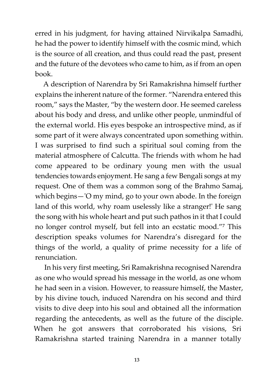erred in his judgment, for having attained Nirvikalpa Samadhi, he had the power to identify himself with the cosmic mind, which is the source of all creation, and thus could read the past, present and the future of the devotees who came to him, as if from an open book.

A description of Narendra by Sri Ramakrishna himself further explains the inherent nature of the former. "Narendra entered this room," says the Master, "by the western door. He seemed careless about his body and dress, and unlike other people, unmindful of the external world. His eyes bespoke an introspective mind, as if some part of it were always concentrated upon something within. I was surprised to find such a spiritual soul coming from the material atmosphere of Calcutta. The friends with whom he had come appeared to be ordinary young men with the usual tendencies towards enjoyment. He sang a few Bengali songs at my request. One of them was a common song of the Brahmo Samaj, which begins—'O my mind, go to your own abode. In the foreign land of this world, why roam uselessly like a stranger!' He sang the song with his whole heart and put such pathos in it that I could no longer control myself, but fell into an ecstatic mood."<sup>7</sup> This description speaks volumes for Narendra's disregard for the things of the world, a quality of prime necessity for a life of renunciation.

In his very first meeting, Sri Ramakrishna recognised Narendra as one who would spread his message in the world, as one whom he had seen in a vision. However, to reassure himself, the Master, by his divine touch, induced Narendra on his second and third visits to dive deep into his soul and obtained all the information regarding the antecedents, as well as the future of the disciple. When he got answers that corroborated his visions, Sri Ramakrishna started training Narendra in a manner totally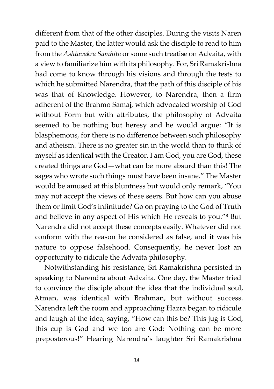different from that of the other disciples. During the visits Naren paid to the Master, the latter would ask the disciple to read to him from the *Ashtavakra Samhita* or some such treatise on Advaita, with a view to familiarize him with its philosophy. For, Sri Ramakrishna had come to know through his visions and through the tests to which he submitted Narendra, that the path of this disciple of his was that of Knowledge. However, to Narendra, then a firm adherent of the Brahmo Samaj, which advocated worship of God without Form but with attributes, the philosophy of Advaita seemed to be nothing but heresy and he would argue: "It is blasphemous, for there is no difference between such philosophy and atheism. There is no greater sin in the world than to think of myself as identical with the Creator. I am God, you are God, these created things are God—what can be more absurd than this! The sages who wrote such things must have been insane." The Master would be amused at this bluntness but would only remark, "You may not accept the views of these seers. But how can you abuse them or limit God's infinitude? Go on praying to the God of Truth and believe in any aspect of His which He reveals to you."<sup>8</sup> But Narendra did not accept these concepts easily. Whatever did not conform with the reason he considered as false, and it was his nature to oppose falsehood. Consequently, he never lost an opportunity to ridicule the Advaita philosophy.

Notwithstanding his resistance, Sri Ramakrishna persisted in speaking to Narendra about Advaita. One day, the Master tried to convince the disciple about the idea that the individual soul, Atman, was identical with Brahman, but without success. Narendra left the room and approaching Hazra began to ridicule and laugh at the idea, saying, "How can this be? This jug is God, this cup is God and we too are God: Nothing can be more preposterous!" Hearing Narendra's laughter Sri Ramakrishna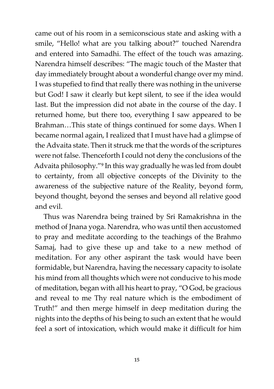came out of his room in a semiconscious state and asking with a smile, "Hello! what are you talking about?" touched Narendra and entered into Samadhi. The effect of the touch was amazing. Narendra himself describes: "The magic touch of the Master that day immediately brought about a wonderful change over my mind. I was stupefied to find that really there was nothing in the universe but God! I saw it clearly but kept silent, to see if the idea would last. But the impression did not abate in the course of the day. I returned home, but there too, everything I saw appeared to be Brahman…This state of things continued for some days. When I became normal again, I realized that I must have had a glimpse of the Advaita state. Then it struck me that the words of the scriptures were not false. Thenceforth I could not deny the conclusions of the Advaita philosophy."<sup>9</sup> In this way gradually he was led from doubt to certainty, from all objective concepts of the Divinity to the awareness of the subjective nature of the Reality, beyond form, beyond thought, beyond the senses and beyond all relative good and evil.

Thus was Narendra being trained by Sri Ramakrishna in the method of Jnana yoga. Narendra, who was until then accustomed to pray and meditate according to the teachings of the Brahmo Samaj, had to give these up and take to a new method of meditation. For any other aspirant the task would have been formidable, but Narendra, having the necessary capacity to isolate his mind from all thoughts which were not conducive to his mode of meditation, began with all his heart to pray, "O God, be gracious and reveal to me Thy real nature which is the embodiment of Truth!" and then merge himself in deep meditation during the nights into the depths of his being to such an extent that he would feel a sort of intoxication, which would make it difficult for him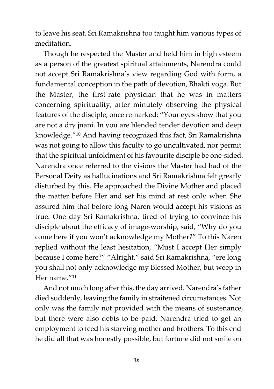to leave his seat. Sri Ramakrishna too taught him various types of meditation.

Though he respected the Master and held him in high esteem as a person of the greatest spiritual attainments, Narendra could not accept Sri Ramakrishna's view regarding God with form, a fundamental conception in the path of devotion, Bhakti yoga. But the Master, the first-rate physician that he was in matters concerning spirituality, after minutely observing the physical features of the disciple, once remarked: "Your eyes show that you are not a dry jnani. In you are blended tender devotion and deep knowledge."<sup>10</sup> And having recognized this fact, Sri Ramakrishna was not going to allow this faculty to go uncultivated, nor permit that the spiritual unfoldment of his favourite disciple be one-sided. Narendra once referred to the visions the Master had had of the Personal Deity as hallucinations and Sri Ramakrishna felt greatly disturbed by this. He approached the Divine Mother and placed the matter before Her and set his mind at rest only when She assured him that before long Naren would accept his visions as true. One day Sri Ramakrishna, tired of trying to convince his disciple about the efficacy of image-worship, said, "Why do you come here if you won't acknowledge my Mother?" To this Naren replied without the least hesitation, "Must I accept Her simply because I come here?" "Alright," said Sri Ramakrishna, "ere long you shall not only acknowledge my Blessed Mother, but weep in Her name."11

And not much long after this, the day arrived. Narendra's father died suddenly, leaving the family in straitened circumstances. Not only was the family not provided with the means of sustenance, but there were also debts to be paid. Narendra tried to get an employment to feed his starving mother and brothers. To this end he did all that was honestly possible, but fortune did not smile on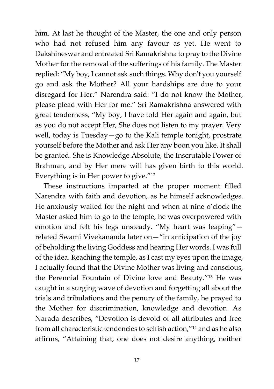him. At last he thought of the Master, the one and only person who had not refused him any favour as yet. He went to Dakshineswar and entreated Sri Ramakrishna to pray to the Divine Mother for the removal of the sufferings of his family. The Master replied: "My boy, I cannot ask such things. Why don't you yourself go and ask the Mother? All your hardships are due to your disregard for Her." Narendra said: "I do not know the Mother, please plead with Her for me." Sri Ramakrishna answered with great tenderness, "My boy, I have told Her again and again, but as you do not accept Her, She does not listen to my prayer. Very well, today is Tuesday—go to the Kali temple tonight, prostrate yourself before the Mother and ask Her any boon you like. It shall be granted. She is Knowledge Absolute, the Inscrutable Power of Brahman, and by Her mere will has given birth to this world. Everything is in Her power to give. $^{\prime\prime}$ <sup>12</sup>

These instructions imparted at the proper moment filled Narendra with faith and devotion, as he himself acknowledges. He anxiously waited for the night and when at nine o'clock the Master asked him to go to the temple, he was overpowered with emotion and felt his legs unsteady. "My heart was leaping" related Swami Vivekananda later on—"in anticipation of the joy of beholding the living Goddess and hearing Her words. I was full of the idea. Reaching the temple, as I cast my eyes upon the image, I actually found that the Divine Mother was living and conscious, the Perennial Fountain of Divine love and Beauty."<sup>13</sup> He was caught in a surging wave of devotion and forgetting all about the trials and tribulations and the penury of the family, he prayed to the Mother for discrimination, knowledge and devotion. As Narada describes, "Devotion is devoid of all attributes and free from all characteristic tendencies to selfish action,"<sup>14</sup> and as he also affirms, "Attaining that, one does not desire anything, neither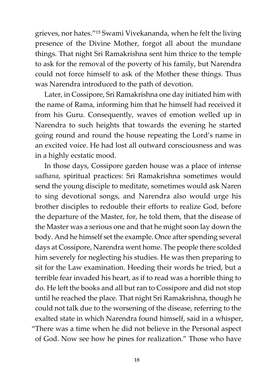grieves, nor hates."<sup>15</sup> Swami Vivekananda, when he felt the living presence of the Divine Mother, forgot all about the mundane things. That night Sri Ramakrishna sent him thrice to the temple to ask for the removal of the poverty of his family, but Narendra could not force himself to ask of the Mother these things. Thus was Narendra introduced to the path of devotion.

Later, in Cossipore, Sri Ramakrishna one day initiated him with the name of Rama, informing him that he himself had received it from his Guru. Consequently, waves of emotion welled up in Narendra to such heights that towards the evening he started going round and round the house repeating the Lord's name in an excited voice. He had lost all outward consciousness and was in a highly ecstatic mood.

In those days, Cossipore garden house was a place of intense *sadhana*, spiritual practices: Sri Ramakrishna sometimes would send the young disciple to meditate, sometimes would ask Naren to sing devotional songs, and Narendra also would urge his brother disciples to redouble their efforts to realize God, before the departure of the Master, for, he told them, that the disease of the Master was a serious one and that he might soon lay down the body. And he himself set the example. Once after spending several days at Cossipore, Narendra went home. The people there scolded him severely for neglecting his studies. He was then preparing to sit for the Law examination. Heeding their words he tried, but a terrible fear invaded his heart, as if to read was a horrible thing to do. He left the books and all but ran to Cossipore and did not stop until he reached the place. That night Sri Ramakrishna, though he could not talk due to the worsening of the disease, referring to the exalted state in which Narendra found himself, said in a whisper, "There was a time when he did not believe in the Personal aspect of God. Now see how he pines for realization." Those who have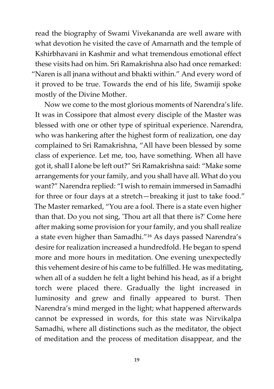read the biography of Swami Vivekananda are well aware with what devotion he visited the cave of Amarnath and the temple of Kshirbhavani in Kashmir and what tremendous emotional effect these visits had on him. Sri Ramakrishna also had once remarked: "Naren is all jnana without and bhakti within." And every word of it proved to be true. Towards the end of his life, Swamiji spoke mostly of the Divine Mother.

Now we come to the most glorious moments of Narendra's life. It was in Cossipore that almost every disciple of the Master was blessed with one or other type of spiritual experience. Narendra, who was hankering after the highest form of realization, one day complained to Sri Ramakrishna, "All have been blessed by some class of experience. Let me, too, have something. When all have got it, shall I alone be left out?" Sri Ramakrishna said: "Make some arrangements for your family, and you shall have all. What do you want?" Narendra replied: "I wish to remain immersed in Samadhi for three or four days at a stretch—breaking it just to take food." The Master remarked, "You are a fool. There is a state even higher than that. Do you not sing, 'Thou art all that there is?' Come here after making some provision for your family, and you shall realize a state even higher than Samadhi."<sup>16</sup> As days passed Narendra's desire for realization increased a hundredfold. He began to spend more and more hours in meditation. One evening unexpectedly this vehement desire of his came to be fulfilled. He was meditating, when all of a sudden he felt a light behind his head, as if a bright torch were placed there. Gradually the light increased in luminosity and grew and finally appeared to burst. Then Narendra's mind merged in the light; what happened afterwards cannot be expressed in words, for this state was Nirvikalpa Samadhi, where all distinctions such as the meditator, the object of meditation and the process of meditation disappear, and the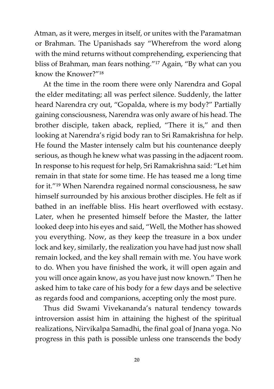Atman, as it were, merges in itself, or unites with the Paramatman or Brahman. The Upanishads say "Wherefrom the word along with the mind returns without comprehending, experiencing that bliss of Brahman, man fears nothing."<sup>17</sup> Again, "By what can you know the Knower?"<sup>18</sup>

At the time in the room there were only Narendra and Gopal the elder meditating; all was perfect silence. Suddenly, the latter heard Narendra cry out, "Gopalda, where is my body?" Partially gaining consciousness, Narendra was only aware of his head. The brother disciple, taken aback, replied, "There it is," and then looking at Narendra's rigid body ran to Sri Ramakrishna for help. He found the Master intensely calm but his countenance deeply serious, as though he knew what was passing in the adjacent room. In response to his request for help, Sri Ramakrishna said: "Let him remain in that state for some time. He has teased me a long time for it."<sup>19</sup> When Narendra regained normal consciousness, he saw himself surrounded by his anxious brother disciples. He felt as if bathed in an ineffable bliss. His heart overflowed with ecstasy. Later, when he presented himself before the Master, the latter looked deep into his eyes and said, "Well, the Mother has showed you everything. Now, as they keep the treasure in a box under lock and key, similarly, the realization you have had just now shall remain locked, and the key shall remain with me. You have work to do. When you have finished the work, it will open again and you will once again know, as you have just now known." Then he asked him to take care of his body for a few days and be selective as regards food and companions, accepting only the most pure.

Thus did Swami Vivekananda's natural tendency towards introversion assist him in attaining the highest of the spiritual realizations, Nirvikalpa Samadhi, the final goal of Jnana yoga. No progress in this path is possible unless one transcends the body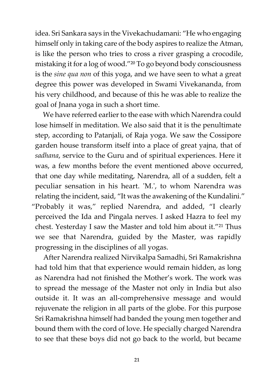idea. Sri Sankara says in the Vivekachudamani: "He who engaging himself only in taking care of the body aspires to realize the Atman, is like the person who tries to cross a river grasping a crocodile, mistaking it for a log of wood."<sup>20</sup> To go beyond body consciousness is the *sine qua non* of this yoga, and we have seen to what a great degree this power was developed in Swami Vivekananda, from his very childhood, and because of this he was able to realize the goal of Jnana yoga in such a short time.

We have referred earlier to the ease with which Narendra could lose himself in meditation. We also said that it is the penultimate step, according to Patanjali, of Raja yoga. We saw the Cossipore garden house transform itself into a place of great yajna, that of *sadhana*, service to the Guru and of spiritual experiences. Here it was, a few months before the event mentioned above occurred, that one day while meditating, Narendra, all of a sudden, felt a peculiar sensation in his heart. 'M.', to whom Narendra was relating the incident, said, "It was the awakening of the Kundalini." "Probably it was," replied Narendra, and added, "I clearly perceived the Ida and Pingala nerves. I asked Hazra to feel my chest. Yesterday I saw the Master and told him about it."<sup>21</sup> Thus we see that Narendra, guided by the Master, was rapidly progressing in the disciplines of all yogas.

After Narendra realized Nirvikalpa Samadhi, Sri Ramakrishna had told him that that experience would remain hidden, as long as Narendra had not finished the Mother's work. The work was to spread the message of the Master not only in India but also outside it. It was an all-comprehensive message and would rejuvenate the religion in all parts of the globe. For this purpose Sri Ramakrishna himself had banded the young men together and bound them with the cord of love. He specially charged Narendra to see that these boys did not go back to the world, but became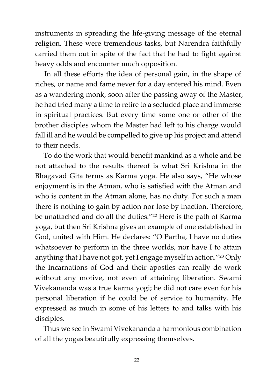instruments in spreading the life-giving message of the eternal religion. These were tremendous tasks, but Narendra faithfully carried them out in spite of the fact that he had to fight against heavy odds and encounter much opposition.

In all these efforts the idea of personal gain, in the shape of riches, or name and fame never for a day entered his mind. Even as a wandering monk, soon after the passing away of the Master, he had tried many a time to retire to a secluded place and immerse in spiritual practices. But every time some one or other of the brother disciples whom the Master had left to his charge would fall ill and he would be compelled to give up his project and attend to their needs.

To do the work that would benefit mankind as a whole and be not attached to the results thereof is what Sri Krishna in the Bhagavad Gita terms as Karma yoga. He also says, "He whose enjoyment is in the Atman, who is satisfied with the Atman and who is content in the Atman alone, has no duty. For such a man there is nothing to gain by action nor lose by inaction. Therefore, be unattached and do all the duties."<sup>22</sup> Here is the path of Karma yoga, but then Sri Krishna gives an example of one established in God, united with Him. He declares: "O Partha, I have no duties whatsoever to perform in the three worlds, nor have I to attain anything that I have not got, yet I engage myself in action."<sup>23</sup> Only the Incarnations of God and their apostles can really do work without any motive, not even of attaining liberation. Swami Vivekananda was a true karma yogi; he did not care even for his personal liberation if he could be of service to humanity. He expressed as much in some of his letters to and talks with his disciples.

Thus we see in Swami Vivekananda a harmonious combination of all the yogas beautifully expressing themselves.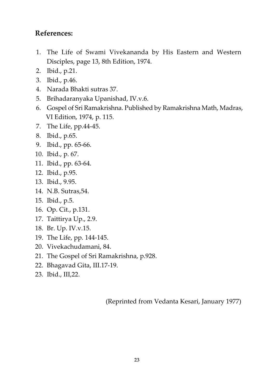### **References:**

- 1. The Life of Swami Vivekananda by His Eastern and Western Disciples, page 13, 8th Edition, 1974.
- 2. Ibid., p.21.
- 3. Ibid., p.46.
- 4. Narada Bhakti sutras 37.
- 5. Brihadaranyaka Upanishad, IV.v.6.
- 6. Gospel of Sri Ramakrishna. Published by Ramakrishna Math, Madras, VI Edition, 1974, p. 115.
- 7. The Life, pp.44-45.
- 8. Ibid., p.65.
- 9. Ibid., pp. 65-66.
- 10. Ibid., p. 67.
- 11. Ibid., pp. 63-64.
- 12. Ibid., p.95.
- 13. Ibid., 9.95.
- 14. N.B. Sutras,54.
- 15. Ibid., p.5.
- 16. Op. Cit., p.131.
- 17. Taittirya Up., 2.9.
- 18. Br. Up. IV.v.15.
- 19. The Life, pp. 144-145.
- 20. Vivekachudamani, 84.
- 21. The Gospel of Sri Ramakrishna, p.928.
- 22. Bhagavad Gita, III.17-19.
- 23. Ibid., III,22.

(Reprinted from Vedanta Kesari, January 1977)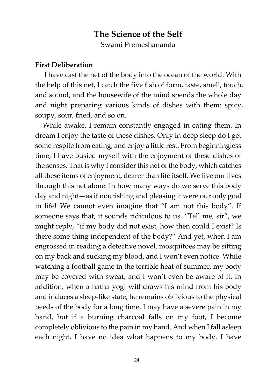# **The Science of the Self** Swami Premeshananda

#### **First Deliberation**

I have cast the net of the body into the ocean of the world. With the help of this net, I catch the five fish of form, taste, smell, touch, and sound, and the housewife of the mind spends the whole day and night preparing various kinds of dishes with them: spicy, soupy, sour, fried, and so on.

While awake, I remain constantly engaged in eating them. In dream I enjoy the taste of these dishes. Only in deep sleep do I get some respite from eating, and enjoy a little rest. From beginningless time, I have busied myself with the enjoyment of these dishes of the senses. That is why I consider this net of the body, which catches all these items of enjoyment, dearer than life itself. We live our lives through this net alone. In how many ways do we serve this body day and night—as if nourishing and pleasing it were our only goal in life! We cannot even imagine that "I am not this body". If someone says that, it sounds ridiculous to us. "Tell me, sir", we might reply, "if my body did not exist, how then could I exist? Is there some thing independent of the body?" And yet, when I am engrossed in reading a detective novel, mosquitoes may be sitting on my back and sucking my blood, and I won't even notice. While watching a football game in the terrible heat of summer, my body may be covered with sweat, and I won't even be aware of it. In addition, when a hatha yogi withdraws his mind from his body and induces a sleep-like state, he remains oblivious to the physical needs of the body for a long time. I may have a severe pain in my hand, but if a burning charcoal falls on my foot, I become completely oblivious to the pain in my hand. And when I fall asleep each night, I have no idea what happens to my body. I have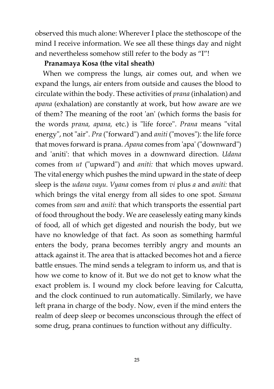observed this much alone: Wherever I place the stethoscope of the mind I receive information. We see all these things day and night and nevertheless somehow still refer to the body as "I"!

#### **Pranamaya Kosa (the vital sheath)**

When we compress the lungs, air comes out, and when we expand the lungs, air enters from outside and causes the blood to circulate within the body. These activities of *prana* (inhalation) and *apana* (exhalation) are constantly at work, but how aware are we of them? The meaning of the root 'an' (which forms the basis for the words *prana, apana,* etc.) is "life force". *Prana* means "vital energy", not "air". *Pra* ("forward") and *aniti* ("moves"): the life force that moves forward is prana. *Apana* comes from 'apa' ("downward") and 'aniti': that which moves in a downward direction. *Udana* comes from *ut* ("upward") and *aniti:* that which moves upward. The vital energy which pushes the mind upward in the state of deep sleep is the *udana vayu. Vyana* comes from *vi* plus *a* and *aniti:* that which brings the vital energy from all sides to one spot. *Samana* comes from *sam* and *aniti*: that which transports the essential part of food throughout the body. We are ceaselessly eating many kinds of food, all of which get digested and nourish the body, but we have no knowledge of that fact. As soon as something harmful enters the body, prana becomes terribly angry and mounts an attack against it. The area that is attacked becomes hot and a fierce battle ensues. The mind sends a telegram to inform us, and that is how we come to know of it. But we do not get to know what the exact problem is. I wound my clock before leaving for Calcutta, and the clock continued to run automatically. Similarly, we have left prana in charge of the body. Now, even if the mind enters the realm of deep sleep or becomes unconscious through the effect of some drug, prana continues to function without any difficulty.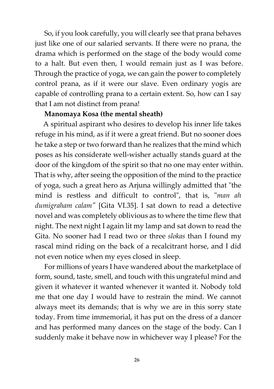So, if you look carefully, you will clearly see that prana behaves just like one of our salaried servants. If there were no prana, the drama which is performed on the stage of the body would come to a halt. But even then, I would remain just as I was before. Through the practice of yoga, we can gain the power to completely control prana, as if it were our slave. Even ordinary yogis are capable of controlling prana to a certain extent. So, how can I say that I am not distinct from prana!

#### **Manomaya Kosa (the mental sheath)**

A spiritual aspirant who desires to develop his inner life takes refuge in his mind, as if it were a great friend. But no sooner does he take a step or two forward than he realizes that the mind which poses as his considerate well-wisher actually stands guard at the door of the kingdom of the spirit so that no one may enter within. That is why, after seeing the opposition of the mind to the practice of yoga, such a great hero as Arjuna willingly admitted that "the mind is restless and difficult to control", that is, "*man ah dumigraham calam"* [Gita VI.35]. I sat down to read a detective novel and was completely oblivious as to where the time flew that night. The next night I again lit my lamp and sat down to read the Gita. No sooner had I read two or three *slokas* than I found my rascal mind riding on the back of a recalcitrant horse, and I did not even notice when my eyes closed in sleep.

For millions of years I have wandered about the marketplace of form, sound, taste, smell, and touch with this ungrateful mind and given it whatever it wanted whenever it wanted it. Nobody told me that one day I would have to restrain the mind. We cannot always meet its demands; that is why we are in this sorry state today. From time immemorial, it has put on the dress of a dancer and has performed many dances on the stage of the body. Can I suddenly make it behave now in whichever way I please? For the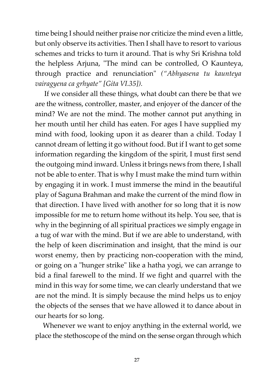time being I should neither praise nor criticize the mind even a little, but only observe its activities. Then I shall have to resort to various schemes and tricks to turn it around. That is why Sri Krishna told the helpless Arjuna, "The mind can be controlled, O Kaunteya, through practice and renunciation" *("Abhyasena tu kaunteya vairagyena ca grhyate" [Gita VI.35]).*

If we consider all these things, what doubt can there be that we are the witness, controller, master, and enjoyer of the dancer of the mind? We are not the mind. The mother cannot put anything in her mouth until her child has eaten. For ages I have supplied my mind with food, looking upon it as dearer than a child. Today I cannot dream of letting it go without food. But if I want to get some information regarding the kingdom of the spirit, I must first send the outgoing mind inward. Unless it brings news from there, I shall not be able to enter. That is why I must make the mind turn within by engaging it in work. I must immerse the mind in the beautiful play of Saguna Brahman and make the current of the mind flow in that direction. I have lived with another for so long that it is now impossible for me to return home without its help. You see, that is why in the beginning of all spiritual practices we simply engage in a tug of war with the mind. But if we are able to understand, with the help of keen discrimination and insight, that the mind is our worst enemy, then by practicing non-cooperation with the mind, or going on a "hunger strike" like a hatha yogi, we can arrange to bid a final farewell to the mind. If we fight and quarrel with the mind in this way for some time, we can clearly understand that we are not the mind. It is simply because the mind helps us to enjoy the objects of the senses that we have allowed it to dance about in our hearts for so long.

Whenever we want to enjoy anything in the external world, we place the stethoscope of the mind on the sense organ through which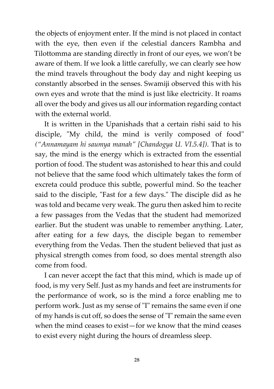the objects of enjoyment enter. If the mind is not placed in contact with the eye, then even if the celestial dancers Rambha and Tilottomma are standing directly in front of our eyes, we won't be aware of them. If we look a little carefully, we can clearly see how the mind travels throughout the body day and night keeping us constantly absorbed in the senses. Swamiji observed this with his own eyes and wrote that the mind is just like electricity. It roams all over the body and gives us all our information regarding contact with the external world.

It is written in the Upanishads that a certain rishi said to his disciple, "My child, the mind is verily composed of food" *("Annamayam hi saumya manah" [Chandogya U. VI.5.4])*. That is to say, the mind is the energy which is extracted from the essential portion of food. The student was astonished to hear this and could not believe that the same food which ultimately takes the form of excreta could produce this subtle, powerful mind. So the teacher said to the disciple, "Fast for a few days." The disciple did as he was told and became very weak. The guru then asked him to recite a few passages from the Vedas that the student had memorized earlier. But the student was unable to remember anything. Later, after eating for a few days, the disciple began to remember everything from the Vedas. Then the student believed that just as physical strength comes from food, so does mental strength also come from food.

I can never accept the fact that this mind, which is made up of food, is my very Self. Just as my hands and feet are instruments for the performance of work, so is the mind a force enabling me to perform work. Just as my sense of "I" remains the same even if one of my hands is cut off, so does the sense of "I" remain the same even when the mind ceases to exist—for we know that the mind ceases to exist every night during the hours of dreamless sleep.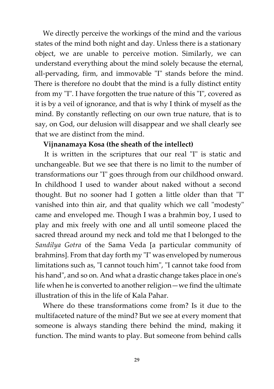We directly perceive the workings of the mind and the various states of the mind both night and day. Unless there is a stationary object, we are unable to perceive motion. Similarly, we can understand everything about the mind solely because the eternal, all-pervading, firm, and immovable "I" stands before the mind. There is therefore no doubt that the mind is a fully distinct entity from my "I". I have forgotten the true nature of this "I", covered as it is by a veil of ignorance, and that is why I think of myself as the mind. By constantly reflecting on our own true nature, that is to say, on God, our delusion will disappear and we shall clearly see that we are distinct from the mind.

#### **Vijnanamaya Kosa (the sheath of the intellect)**

It is written in the scriptures that our real "I" is static and unchangeable. But we see that there is no limit to the number of transformations our "I" goes through from our childhood onward. In childhood I used to wander about naked without a second thought. But no sooner had I gotten a little older than that "I" vanished into thin air, and that quality which we call "modesty" came and enveloped me. Though I was a brahmin boy, I used to play and mix freely with one and all until someone placed the sacred thread around my neck and told me that I belonged to the *Sandilya Gotra* of the Sama Veda [a particular community of brahmins]. From that day forth my "I" was enveloped by numerous limitations such as, "I cannot touch him", "I cannot take food from his hand", and so on. And what a drastic change takes place in one's life when he is converted to another religion—we find the ultimate illustration of this in the life of Kala Pahar.

Where do these transformations come from? Is it due to the multifaceted nature of the mind? But we see at every moment that someone is always standing there behind the mind, making it function. The mind wants to play. But someone from behind calls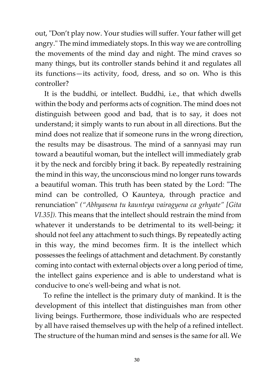out, "Don't play now. Your studies will suffer. Your father will get angry." The mind immediately stops. In this way we are controlling the movements of the mind day and night. The mind craves so many things, but its controller stands behind it and regulates all its functions—its activity, food, dress, and so on. Who is this controller?

It is the buddhi, or intellect. Buddhi, i.e., that which dwells within the body and performs acts of cognition. The mind does not distinguish between good and bad, that is to say, it does not understand; it simply wants to run about in all directions. But the mind does not realize that if someone runs in the wrong direction, the results may be disastrous. The mind of a sannyasi may run toward a beautiful woman, but the intellect will immediately grab it by the neck and forcibly bring it back. By repeatedly restraining the mind in this way, the unconscious mind no longer runs towards a beautiful woman. This truth has been stated by the Lord: "The mind can be controlled, O Kaunteya, through practice and renunciation" *("Abhyasena tu kaunteya vairagyena ca grhyate" [Gita VI.35]).* This means that the intellect should restrain the mind from whatever it understands to be detrimental to its well-being; it should not feel any attachment to such things. By repeatedly acting in this way, the mind becomes firm. It is the intellect which possesses the feelings of attachment and detachment. By constantly coming into contact with external objects over a long period of time, the intellect gains experience and is able to understand what is conducive to one's well-being and what is not.

To refine the intellect is the primary duty of mankind. It is the development of this intellect that distinguishes man from other living beings. Furthermore, those individuals who are respected by all have raised themselves up with the help of a refined intellect. The structure of the human mind and senses is the same for all. We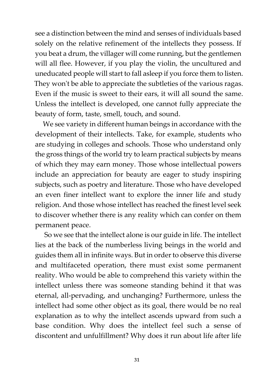see a distinction between the mind and senses of individuals based solely on the relative refinement of the intellects they possess. If you beat a drum, the villager will come running, but the gentlemen will all flee. However, if you play the violin, the uncultured and uneducated people will start to fall asleep if you force them to listen. They won't be able to appreciate the subtleties of the various ragas. Even if the music is sweet to their ears, it will all sound the same. Unless the intellect is developed, one cannot fully appreciate the beauty of form, taste, smell, touch, and sound.

We see variety in different human beings in accordance with the development of their intellects. Take, for example, students who are studying in colleges and schools. Those who understand only the gross things of the world try to learn practical subjects by means of which they may earn money. Those whose intellectual powers include an appreciation for beauty are eager to study inspiring subjects, such as poetry and literature. Those who have developed an even finer intellect want to explore the inner life and study religion. And those whose intellect has reached the finest level seek to discover whether there is any reality which can confer on them permanent peace.

So we see that the intellect alone is our guide in life. The intellect lies at the back of the numberless living beings in the world and guides them all in infinite ways. But in order to observe this diverse and multifaceted operation, there must exist some permanent reality. Who would be able to comprehend this variety within the intellect unless there was someone standing behind it that was eternal, all-pervading, and unchanging? Furthermore, unless the intellect had some other object as its goal, there would be no real explanation as to why the intellect ascends upward from such a base condition. Why does the intellect feel such a sense of discontent and unfulfillment? Why does it run about life after life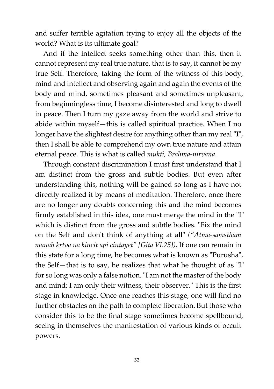and suffer terrible agitation trying to enjoy all the objects of the world? What is its ultimate goal?

And if the intellect seeks something other than this, then it cannot represent my real true nature, that is to say, it cannot be my true Self. Therefore, taking the form of the witness of this body, mind and intellect and observing again and again the events of the body and mind, sometimes pleasant and sometimes unpleasant, from beginningless time, I become disinterested and long to dwell in peace. Then I turn my gaze away from the world and strive to abide within myself—this is called spiritual practice. When I no longer have the slightest desire for anything other than my real "I", then I shall be able to comprehend my own true nature and attain eternal peace. This is what is called *mukti, Brahma-nirvana*.

Through constant discrimination I must first understand that I am distinct from the gross and subtle bodies. But even after understanding this, nothing will be gained so long as I have not directly realized it by means of meditation. Therefore, once there are no longer any doubts concerning this and the mind becomes firmly established in this idea, one must merge the mind in the "I" which is distinct from the gross and subtle bodies. "Fix the mind on the Self and don't think of anything at all" *("Atma-samstham manah krtva na kincit api cintayet" [Gita VI.25])*. If one can remain in this state for a long time, he becomes what is known as "Purusha", the Self—that is to say, he realizes that what he thought of as "I" for so long was only a false notion. "I am not the master of the body and mind; I am only their witness, their observer." This is the first stage in knowledge. Once one reaches this stage, one will find no further obstacles on the path to complete liberation. But those who consider this to be the final stage sometimes become spellbound, seeing in themselves the manifestation of various kinds of occult powers.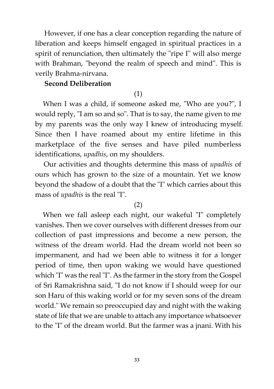However, if one has a clear conception regarding the nature of liberation and keeps himself engaged in spiritual practices in a spirit of renunciation, then ultimately the "ripe I" will also merge with Brahman, "beyond the realm of speech and mind". This is verily Brahma-nirvana.

#### **Second Deliberation**

#### (1)

When I was a child, if someone asked me, "Who are you?", I would reply, "I am so and so". That is to say, the name given to me by my parents was the only way I knew of introducing myself. Since then I have roamed about my entire lifetime in this marketplace of the five senses and have piled numberless identifications, *upadhis*, on my shoulders.

Our activities and thoughts determine this mass of *upadhis* of ours which has grown to the size of a mountain. Yet we know beyond the shadow of a doubt that the "I" which carries about this mass of *upadhis* is the real "I".

#### (2)

When we fall asleep each night, our wakeful "I" completely vanishes. Then we cover ourselves with different dresses from our collection of past impressions and become a new person, the witness of the dream world. Had the dream world not been so impermanent, and had we been able to witness it for a longer period of time, then upon waking we would have questioned which "I" was the real "I". As the farmer in the story from the Gospel of Sri Ramakrishna said, "I do not know if I should weep for our son Haru of this waking world or for my seven sons of the dream world." We remain so preoccupied day and night with the waking state of life that we are unable to attach any importance whatsoever to the "I" of the dream world. But the farmer was a jnani. With his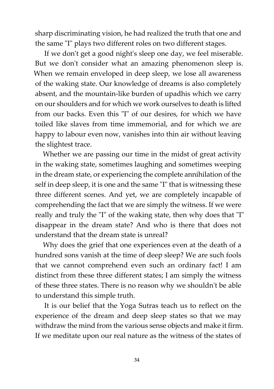sharp discriminating vision, he had realized the truth that one and the same "I" plays two different roles on two different stages.

If we don't get a good night's sleep one day, we feel miserable. But we don't consider what an amazing phenomenon sleep is. When we remain enveloped in deep sleep, we lose all awareness of the waking state. Our knowledge of dreams is also completely absent, and the mountain-like burden of upadhis which we carry on our shoulders and for which we work ourselves to death is lifted from our backs. Even this "I" of our desires, for which we have toiled like slaves from time immemorial, and for which we are happy to labour even now, vanishes into thin air without leaving the slightest trace.

Whether we are passing our time in the midst of great activity in the waking state, sometimes laughing and sometimes weeping in the dream state, or experiencing the complete annihilation of the self in deep sleep, it is one and the same "I" that is witnessing these three different scenes. And yet, we are completely incapable of comprehending the fact that we are simply the witness. If we were really and truly the "I" of the waking state, then why does that "I" disappear in the dream state? And who is there that does not understand that the dream state is unreal?

Why does the grief that one experiences even at the death of a hundred sons vanish at the time of deep sleep? We are such fools that we cannot comprehend even such an ordinary fact! I am distinct from these three different states; I am simply the witness of these three states. There is no reason why we shouldn't be able to understand this simple truth.

It is our belief that the Yoga Sutras teach us to reflect on the experience of the dream and deep sleep states so that we may withdraw the mind from the various sense objects and make it firm. If we meditate upon our real nature as the witness of the states of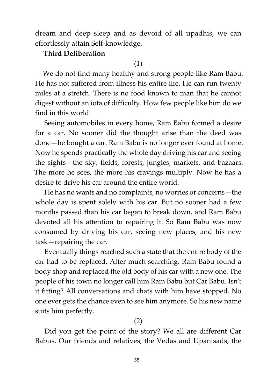dream and deep sleep and as devoid of all upadhis, we can effortlessly attain Self-knowledge.

#### **Third Deliberation**

#### (1)

We do not find many healthy and strong people like Ram Babu. He has not suffered from illness his entire life. He can run twenty miles at a stretch. There is no food known to man that he cannot digest without an iota of difficulty. How few people like him do we find in this world!

Seeing automobiles in every home, Ram Babu formed a desire for a car. No sooner did the thought arise than the deed was done—he bought a car. Ram Babu is no longer ever found at home. Now he spends practically the whole day driving his car and seeing the sights—the sky, fields, forests, jungles, markets, and bazaars. The more he sees, the more his cravings multiply. Now he has a desire to drive his car around the entire world.

He has no wants and no complaints, no worries or concerns—the whole day is spent solely with his car. But no sooner had a few months passed than his car began to break down, and Ram Babu devoted all his attention to repairing it. So Ram Babu was now consumed by driving his car, seeing new places, and his new task—repairing the car.

Eventually things reached such a state that the entire body of the car had to be replaced. After much searching, Ram Babu found a body shop and replaced the old body of his car with a new one. The people of his town no longer call him Ram Babu but Car Babu. Isn't it fitting? All conversations and chats with him have stopped. No one ever gets the chance even to see him anymore. So his new name suits him perfectly.

#### (2)

Did you get the point of the story? We all are different Car Babus. Our friends and relatives, the Vedas and Upanisads, the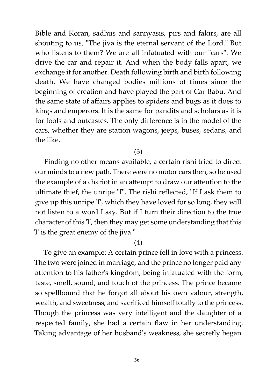Bible and Koran, sadhus and sannyasis, pirs and fakirs, are all shouting to us, "The jiva is the eternal servant of the Lord." But who listens to them? We are all infatuated with our "cars". We drive the car and repair it. And when the body falls apart, we exchange it for another. Death following birth and birth following death. We have changed bodies millions of times since the beginning of creation and have played the part of Car Babu. And the same state of affairs applies to spiders and bugs as it does to kings and emperors. It is the same for pandits and scholars as it is for fools and outcastes. The only difference is in the model of the cars, whether they are station wagons, jeeps, buses, sedans, and the like.

(3)

Finding no other means available, a certain rishi tried to direct our minds to a new path. There were no motor cars then, so he used the example of a chariot in an attempt to draw our attention to the ultimate thief, the unripe "I". The rishi reflected, "If I ask them to give up this unripe 'I', which they have loved for so long, they will not listen to a word I say. But if I turn their direction to the true character of this 'I', then they may get some understanding that this 'I' is the great enemy of the jiva."

#### (4)

To give an example: A certain prince fell in love with a princess. The two were joined in marriage, and the prince no longer paid any attention to his father's kingdom, being infatuated with the form, taste, smell, sound, and touch of the princess. The prince became so spellbound that he forgot all about his own valour, strength, wealth, and sweetness, and sacrificed himself totally to the princess. Though the princess was very intelligent and the daughter of a respected family, she had a certain flaw in her understanding. Taking advantage of her husband's weakness, she secretly began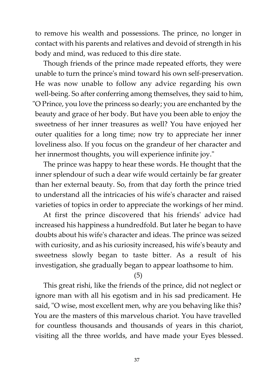to remove his wealth and possessions. The prince, no longer in contact with his parents and relatives and devoid of strength in his body and mind, was reduced to this dire state.

Though friends of the prince made repeated efforts, they were unable to turn the prince's mind toward his own self-preservation. He was now unable to follow any advice regarding his own well-being. So after conferring among themselves, they said to him, "O Prince, you love the princess so dearly; you are enchanted by the beauty and grace of her body. But have you been able to enjoy the sweetness of her inner treasures as well? You have enjoyed her outer qualities for a long time; now try to appreciate her inner loveliness also. If you focus on the grandeur of her character and her innermost thoughts, you will experience infinite joy."

The prince was happy to hear these words. He thought that the inner splendour of such a dear wife would certainly be far greater than her external beauty. So, from that day forth the prince tried to understand all the intricacies of his wife's character and raised varieties of topics in order to appreciate the workings of her mind.

At first the prince discovered that his friends' advice had increased his happiness a hundredfold. But later he began to have doubts about his wife's character and ideas. The prince was seized with curiosity, and as his curiosity increased, his wife's beauty and sweetness slowly began to taste bitter. As a result of his investigation, she gradually began to appear loathsome to him.

#### (5)

This great rishi, like the friends of the prince, did not neglect or ignore man with all his egotism and in his sad predicament. He said, "O wise, most excellent men, why are you behaving like this? You are the masters of this marvelous chariot. You have travelled for countless thousands and thousands of years in this chariot, visiting all the three worlds, and have made your Eyes blessed.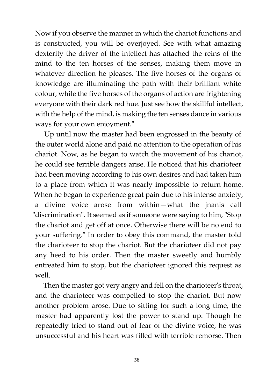Now if you observe the manner in which the chariot functions and is constructed, you will be overjoyed. See with what amazing dexterity the driver of the intellect has attached the reins of the mind to the ten horses of the senses, making them move in whatever direction he pleases. The five horses of the organs of knowledge are illuminating the path with their brilliant white colour, while the five horses of the organs of action are frightening everyone with their dark red hue. Just see how the skillful intellect, with the help of the mind, is making the ten senses dance in various ways for your own enjoyment."

Up until now the master had been engrossed in the beauty of the outer world alone and paid no attention to the operation of his chariot. Now, as he began to watch the movement of his chariot, he could see terrible dangers arise. He noticed that his charioteer had been moving according to his own desires and had taken him to a place from which it was nearly impossible to return home. When he began to experience great pain due to his intense anxiety, a divine voice arose from within—what the jnanis call "discrimination". It seemed as if someone were saying to him, "Stop the chariot and get off at once. Otherwise there will be no end to your suffering." In order to obey this command, the master told the charioteer to stop the chariot. But the charioteer did not pay any heed to his order. Then the master sweetly and humbly entreated him to stop, but the charioteer ignored this request as well.

Then the master got very angry and fell on the charioteer's throat, and the charioteer was compelled to stop the chariot. But now another problem arose. Due to sitting for such a long time, the master had apparently lost the power to stand up. Though he repeatedly tried to stand out of fear of the divine voice, he was unsuccessful and his heart was filled with terrible remorse. Then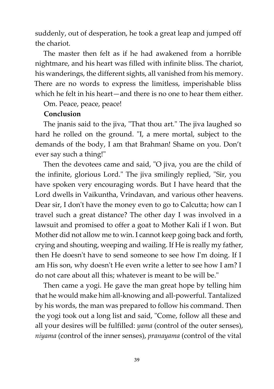suddenly, out of desperation, he took a great leap and jumped off the chariot.

The master then felt as if he had awakened from a horrible nightmare, and his heart was filled with infinite bliss. The chariot, his wanderings, the different sights, all vanished from his memory. There are no words to express the limitless, imperishable bliss which he felt in his heart—and there is no one to hear them either.

Om. Peace, peace, peace!

#### **Conclusion**

The jnanis said to the jiva, "That thou art." The jiva laughed so hard he rolled on the ground. "I, a mere mortal, subject to the demands of the body, I am that Brahman! Shame on you. Don't ever say such a thing!"

Then the devotees came and said, "O jiva, you are the child of the infinite, glorious Lord." The jiva smilingly replied, "Sir, you have spoken very encouraging words. But I have heard that the Lord dwells in Vaikuntha, Vrindavan, and various other heavens. Dear sir, I don't have the money even to go to Calcutta; how can I travel such a great distance? The other day I was involved in a lawsuit and promised to offer a goat to Mother Kali if I won. But Mother did not allow me to win. I cannot keep going back and forth, crying and shouting, weeping and wailing. If He is really my father, then He doesn't have to send someone to see how I'm doing. If I am His son, why doesn't He even write a letter to see how I am? I do not care about all this; whatever is meant to be will be."

Then came a yogi. He gave the man great hope by telling him that he would make him all-knowing and all-powerful. Tantalized by his words, the man was prepared to follow his command. Then the yogi took out a long list and said, "Come, follow all these and all your desires will be fulfilled: *yama* (control of the outer senses), *niyama* (control of the inner senses), *pranayama* (control of the vital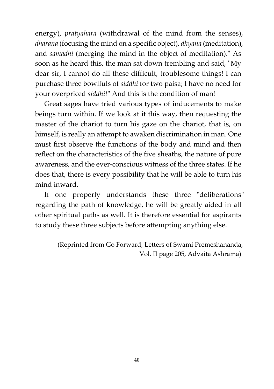energy), *pratyahara* (withdrawal of the mind from the senses), *dharana* (focusing the mind on a specific object), *dhyana* (meditation), and *samadhi* (merging the mind in the object of meditation)." As soon as he heard this, the man sat down trembling and said, "My dear sir, I cannot do all these difficult, troublesome things! I can purchase three bowlfuls of *siddhi* for two paisa; I have no need for your overpriced *siddhi!*" And this is the condition of man!

Great sages have tried various types of inducements to make beings turn within. If we look at it this way, then requesting the master of the chariot to turn his gaze on the chariot, that is, on himself, is really an attempt to awaken discrimination in man. One must first observe the functions of the body and mind and then reflect on the characteristics of the five sheaths, the nature of pure awareness, and the ever-conscious witness of the three states. If he does that, there is every possibility that he will be able to turn his mind inward.

If one properly understands these three "deliberations" regarding the path of knowledge, he will be greatly aided in all other spiritual paths as well. It is therefore essential for aspirants to study these three subjects before attempting anything else.

> (Reprinted from Go Forward, Letters of Swami Premeshananda, Vol. II page 205, Advaita Ashrama)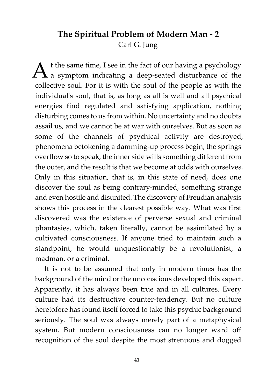# **The Spiritual Problem of Modern Man - 2** Carl G. Jung

 $A^{\text{t the same time, I see in the fact of our having a psychology}}$  a symptom indicating a deep-seated disturbance of the t the same time, I see in the fact of our having a psychology collective soul. For it is with the soul of the people as with the individual's soul, that is, as long as all is well and all psychical energies find regulated and satisfying application, nothing disturbing comes to us from within. No uncertainty and no doubts assail us, and we cannot be at war with ourselves. But as soon as some of the channels of psychical activity are destroyed, phenomena betokening a damming-up process begin, the springs overflow so to speak, the inner side wills something different from the outer, and the result is that we become at odds with ourselves. Only in this situation, that is, in this state of need, does one discover the soul as being contrary-minded, something strange and even hostile and disunited. The discovery of Freudian analysis shows this process in the clearest possible way. What was first discovered was the existence of perverse sexual and criminal phantasies, which, taken literally, cannot be assimilated by a cultivated consciousness. If anyone tried to maintain such a standpoint, he would unquestionably be a revolutionist, a madman, or a criminal.

It is not to be assumed that only in modern times has the background of the mind or the unconscious developed this aspect. Apparently, it has always been true and in all cultures. Every culture had its destructive counter-tendency. But no culture heretofore has found itself forced to take this psychic background seriously. The soul was always merely part of a metaphysical system. But modern consciousness can no longer ward off recognition of the soul despite the most strenuous and dogged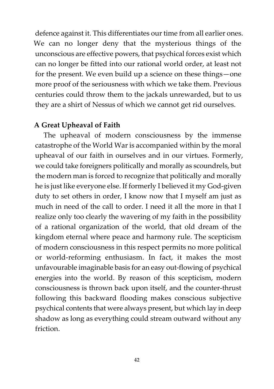defence against it. This differentiates our time from all earlier ones. We can no longer deny that the mysterious things of the unconscious are effective powers, that psychical forces exist which can no longer be fitted into our rational world order, at least not for the present. We even build up a science on these things—one more proof of the seriousness with which we take them. Previous centuries could throw them to the jackals unrewarded, but to us they are a shirt of Nessus of which we cannot get rid ourselves.

#### **A Great Upheaval of Faith**

The upheaval of modern consciousness by the immense catastrophe of the World War is accompanied within by the moral upheaval of our faith in ourselves and in our virtues. Formerly, we could take foreigners politically and morally as scoundrels, but the modern man is forced to recognize that politically and morally he is just like everyone else. If formerly I believed it my God-given duty to set others in order, I know now that I myself am just as much in need of the call to order. I need it all the more in that I realize only too clearly the wavering of my faith in the possibility of a rational organization of the world, that old dream of the kingdom eternal where peace and harmony rule. The scepticism of modern consciousness in this respect permits no more political or world-reforming enthusiasm. In fact, it makes the most unfavourable imaginable basis for an easy out-flowing of psychical energies into the world. By reason of this scepticism, modern consciousness is thrown back upon itself, and the counter-thrust following this backward flooding makes conscious subjective psychical contents that were always present, but which lay in deep shadow as long as everything could stream outward without any friction.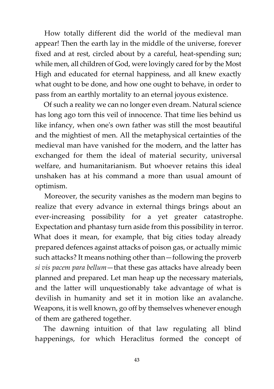How totally different did the world of the medieval man appear! Then the earth lay in the middle of the universe, forever fixed and at rest, circled about by a careful, heat-spending sun; while men, all children of God, were lovingly cared for by the Most High and educated for eternal happiness, and all knew exactly what ought to be done, and how one ought to behave, in order to pass from an earthly mortality to an eternal joyous existence.

Of such a reality we can no longer even dream. Natural science has long ago torn this veil of innocence. That time lies behind us like infancy, when one's own father was still the most beautiful and the mightiest of men. All the metaphysical certainties of the medieval man have vanished for the modern, and the latter has exchanged for them the ideal of material security, universal welfare, and humanitarianism. But whoever retains this ideal unshaken has at his command a more than usual amount of optimism.

Moreover, the security vanishes as the modern man begins to realize that every advance in external things brings about an ever-increasing possibility for a yet greater catastrophe. Expectation and phantasy turn aside from this possibility in terror. What does it mean, for example, that big cities today already prepared defences against attacks of poison gas, or actually mimic such attacks? It means nothing other than—following the proverb *si vis pacem para bellum*—that these gas attacks have already been planned and prepared. Let man heap up the necessary materials, and the latter will unquestionably take advantage of what is devilish in humanity and set it in motion like an avalanche. Weapons, it is well known, go off by themselves whenever enough of them are gathered together.

The dawning intuition of that law regulating all blind happenings, for which Heraclitus formed the concept of

**43**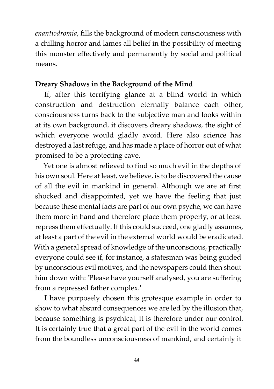*enantiodromia*, fills the background of modern consciousness with a chilling horror and lames all belief in the possibility of meeting this monster effectively and permanently by social and political means.

#### **Dreary Shadows in the Background of the Mind**

If, after this terrifying glance at a blind world in which construction and destruction eternally balance each other, consciousness turns back to the subjective man and looks within at its own background, it discovers dreary shadows, the sight of which everyone would gladly avoid. Here also science has destroyed a last refuge, and has made a place of horror out of what promised to be a protecting cave.

Yet one is almost relieved to find so much evil in the depths of his own soul. Here at least, we believe, is to be discovered the cause of all the evil in mankind in general. Although we are at first shocked and disappointed, yet we have the feeling that just because these mental facts are part of our own psyche, we can have them more in hand and therefore place them properly, or at least repress them effectually. If this could succeed, one gladly assumes, at least a part of the evil in the external world would be eradicated. With a general spread of knowledge of the unconscious, practically everyone could see if, for instance, a statesman was being guided by unconscious evil motives, and the newspapers could then shout him down with: 'Please have yourself analysed, you are suffering from a repressed father complex.'

I have purposely chosen this grotesque example in order to show to what absurd consequences we are led by the illusion that, because something is psychical, it is therefore under our control. It is certainly true that a great part of the evil in the world comes from the boundless unconsciousness of mankind, and certainly it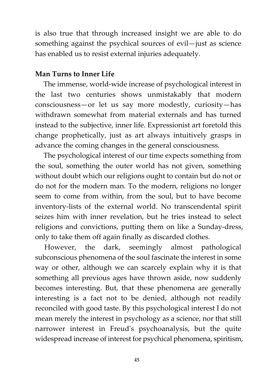is also true that through increased insight we are able to do something against the psychical sources of evil—just as science has enabled us to resist external injuries adequately.

#### **Man Turns to Inner Life**

The immense, world-wide increase of psychological interest in the last two centuries shows unmistakably that modern consciousness—or let us say more modestly, curiosity—has withdrawn somewhat from material externals and has turned instead to the subjective, inner life. Expressionist art foretold this change prophetically, just as art always intuitively grasps in advance the coming changes in the general consciousness.

The psychological interest of our time expects something from the soul, something the outer world has not given, something without doubt which our religions ought to contain but do not or do not for the modern man. To the modern, religions no longer seem to come from within, from the soul, but to have become inventory-lists of the external world. No transcendental spirit seizes him with inner revelation, but he tries instead to select religions and convictions, putting them on like a Sunday-dress, only to take them off again finally as discarded clothes.

However, the dark, seemingly almost pathological subconscious phenomena of the soul fascinate the interest in some way or other, although we can scarcely explain why it is that something all previous ages have thrown aside, now suddenly becomes interesting. But, that these phenomena are generally interesting is a fact not to be denied, although not readily reconciled with good taste. By this psychological interest I do not mean merely the interest in psychology as a science, nor that still narrower interest in Freud's psychoanalysis, but the quite widespread increase of interest for psychical phenomena, spiritism,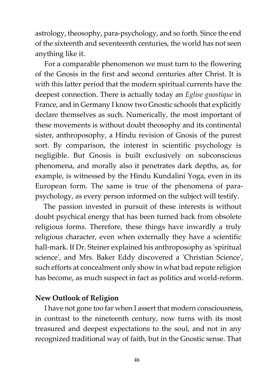astrology, theosophy, para-psychology, and so forth. Since the end of the sixteenth and seventeenth centuries, the world has not seen anything like it.

For a comparable phenomenon we must turn to the flowering of the Gnosis in the first and second centuries after Christ. It is with this latter period that the modern spiritual currents have the deepest connection. There is actually today an *Eglise gnostique* in France, and in Germany I know two Gnostic schools that explicitly declare themselves as such. Numerically, the most important of these movements is without doubt theosophy and its continental sister, anthroposophy, a Hindu revision of Gnosis of the purest sort. By comparison, the interest in scientific psychology is negligible. But Gnosis is built exclusively on subconscious phenomena, and morally also it penetrates dark depths, as, for example, is witnessed by the Hindu Kundalini Yoga, even in its European form. The same is true of the phenomena of parapsychology, as every person informed on the subject will testify.

The passion invested in pursuit of these interests is without doubt psychical energy that has been turned back from obsolete religious forms. Therefore, these things have inwardly a truly religious character, even when externally they have a scientific hall-mark. If Dr. Steiner explained his anthroposophy as 'spiritual science', and Mrs. Baker Eddy discovered a 'Christian Science', such efforts at concealment only show in what bad repute religion has become, as much suspect in fact as politics and world-reform.

#### **New Outlook of Religion**

I have not gone too far when I assert that modern consciousness, in contrast to the nineteenth century, now turns with its most treasured and deepest expectations to the soul, and not in any recognized traditional way of faith, but in the Gnostic sense. That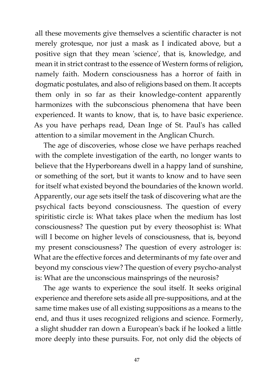all these movements give themselves a scientific character is not merely grotesque, nor just a mask as I indicated above, but a positive sign that they mean 'science', that is, knowledge, and mean it in strict contrast to the essence of Western forms of religion, namely faith. Modern consciousness has a horror of faith in dogmatic postulates, and also of religions based on them. It accepts them only in so far as their knowledge-content apparently harmonizes with the subconscious phenomena that have been experienced. It wants to know, that is, to have basic experience. As you have perhaps read, Dean Inge of St. Paul's has called attention to a similar movement in the Anglican Church.

The age of discoveries, whose close we have perhaps reached with the complete investigation of the earth, no longer wants to believe that the Hyperboreans dwell in a happy land of sunshine, or something of the sort, but it wants to know and to have seen for itself what existed beyond the boundaries of the known world. Apparently, our age sets itself the task of discovering what are the psychical facts beyond consciousness. The question of every spiritistic circle is: What takes place when the medium has lost consciousness? The question put by every theosophist is: What will I become on higher levels of consciousness, that is, beyond my present consciousness? The question of every astrologer is: What are the effective forces and determinants of my fate over and beyond my conscious view? The question of every psycho-analyst is: What are the unconscious mainsprings of the neurosis?

The age wants to experience the soul itself. It seeks original experience and therefore sets aside all pre-suppositions, and at the same time makes use of all existing suppositions as a means to the end, and thus it uses recognized religions and science. Formerly, a slight shudder ran down a European's back if he looked a little more deeply into these pursuits. For, not only did the objects of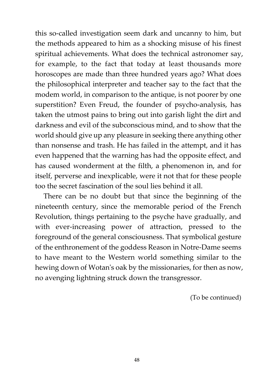this so-called investigation seem dark and uncanny to him, but the methods appeared to him as a shocking misuse of his finest spiritual achievements. What does the technical astronomer say, for example, to the fact that today at least thousands more horoscopes are made than three hundred years ago? What does the philosophical interpreter and teacher say to the fact that the modem world, in comparison to the antique, is not poorer by one superstition? Even Freud, the founder of psycho-analysis, has taken the utmost pains to bring out into garish light the dirt and darkness and evil of the subconscious mind, and to show that the world should give up any pleasure in seeking there anything other than nonsense and trash. He has failed in the attempt, and it has even happened that the warning has had the opposite effect, and has caused wonderment at the filth, a phenomenon in, and for itself, perverse and inexplicable, were it not that for these people too the secret fascination of the soul lies behind it all.

There can be no doubt but that since the beginning of the nineteenth century, since the memorable period of the French Revolution, things pertaining to the psyche have gradually, and with ever-increasing power of attraction, pressed to the foreground of the general consciousness. That symbolical gesture of the enthronement of the goddess Reason in Notre-Dame seems to have meant to the Western world something similar to the hewing down of Wotan's oak by the missionaries, for then as now, no avenging lightning struck down the transgressor.

(To be continued)

**48**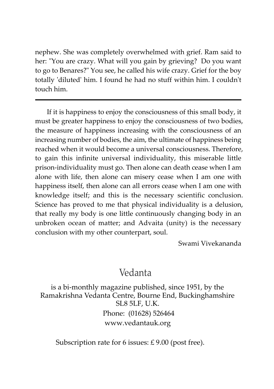nephew. She was completely overwhelmed with grief. Ram said to her: "You are crazy. What will you gain by grieving? Do you want to go to Benares?" You see, he called his wife crazy. Grief for the boy totally 'diluted' him. I found he had no stuff within him. I couldn't touch him.

If it is happiness to enjoy the consciousness of this small body, it must be greater happiness to enjoy the consciousness of two bodies, the measure of happiness increasing with the consciousness of an increasing number of bodies, the aim, the ultimate of happiness being reached when it would become a universal consciousness. Therefore, to gain this infinite universal individuality, this miserable little prison-individuality must go. Then alone can death cease when I am alone with life, then alone can misery cease when I am one with happiness itself, then alone can all errors cease when I am one with knowledge itself; and this is the necessary scientific conclusion. Science has proved to me that physical individuality is a delusion, that really my body is one little continuously changing body in an unbroken ocean of matter; and Advaita (unity) is the necessary conclusion with my other counterpart, soul.

Swami Vivekananda

# Vedanta

is a bi-monthly magazine published, since 1951, by the Ramakrishna Vedanta Centre, Bourne End, Buckinghamshire SL8 5LF, U.K. Phone: (01628) 526464 www.vedantauk.org

Subscription rate for 6 issues:  $£ 9.00$  (post free).